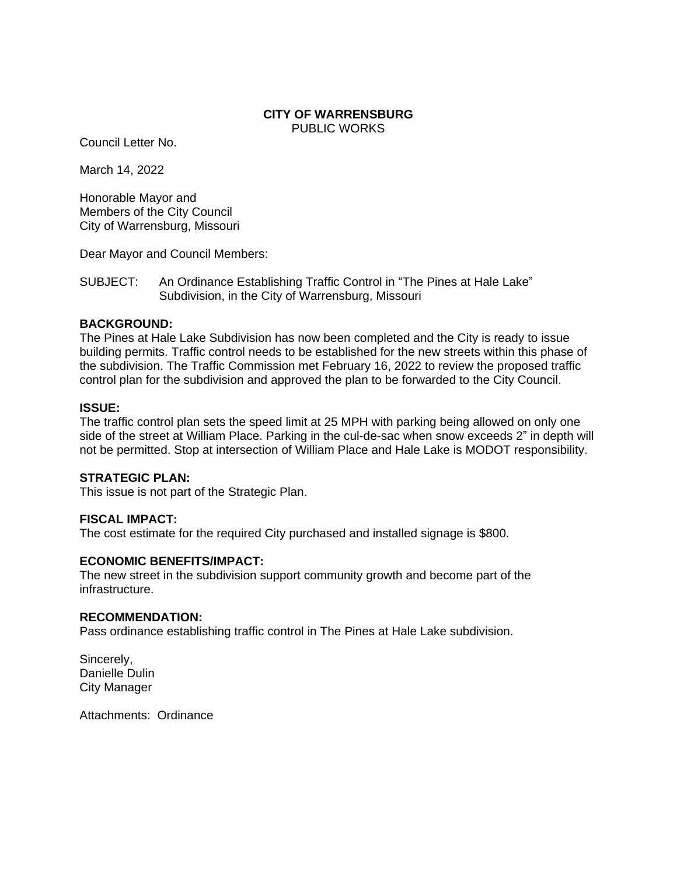## **CITY OF WARRENSBURG** PUBLIC WORKS

Council Letter No.

March 14, 2022

Honorable Mayor and Members of the City Council City of Warrensburg, Missouri

Dear Mayor and Council Members:

SUBJECT: An Ordinance Establishing Traffic Control in "The Pines at Hale Lake" Subdivision, in the City of Warrensburg, Missouri

## **BACKGROUND:**

The Pines at Hale Lake Subdivision has now been completed and the City is ready to issue building permits. Traffic control needs to be established for the new streets within this phase of the subdivision. The Traffic Commission met February 16, 2022 to review the proposed traffic control plan for the subdivision and approved the plan to be forwarded to the City Council.

## **ISSUE:**

The traffic control plan sets the speed limit at 25 MPH with parking being allowed on only one side of the street at William Place. Parking in the cul-de-sac when snow exceeds 2" in depth will not be permitted. Stop at intersection of William Place and Hale Lake is MODOT responsibility.

# **STRATEGIC PLAN:**

This issue is not part of the Strategic Plan.

# **FISCAL IMPACT:**

The cost estimate for the required City purchased and installed signage is \$800.

#### **ECONOMIC BENEFITS/IMPACT:**

The new street in the subdivision support community growth and become part of the infrastructure.

#### **RECOMMENDATION:**

Pass ordinance establishing traffic control in The Pines at Hale Lake subdivision.

Sincerely, Danielle Dulin City Manager

Attachments: Ordinance